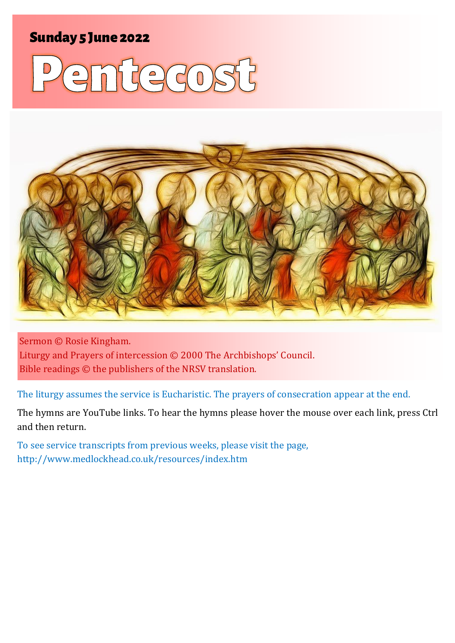## **Sunday 5 June 2022 1 Pentecostal Sunday 5 June 2022**





Sermon © Rosie Kingham. Liturgy and Prayers of intercession © 2000 The Archbishops' Council. Bible readings © the publishers of the NRSV translation.

The liturgy assumes the service is Eucharistic. The prayers of consecration appear at the end.

The hymns are YouTube links. To hear the hymns please hover the mouse over each link, press Ctrl and then return.

To see service transcripts from previous weeks, please visit the page, <http://www.medlockhead.co.uk/resources/index.htm>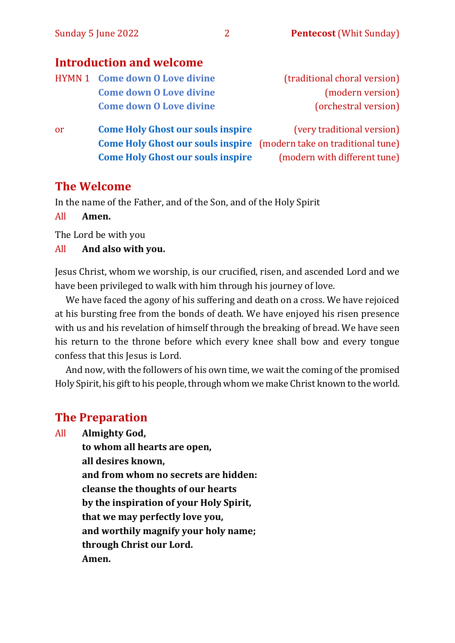### Sunday 5 June 2022 2 **Pentecost** (Whit Sunday)

### **Introduction and welcome**

|  | <b>HYMN 1</b> Come down 0 Love divine | (traditional choral version) |
|--|---------------------------------------|------------------------------|
|  | <b>Come down O Love divine</b>        | (modern version)             |
|  | <b>Come down O Love divine</b>        | (orchestral version)         |

or **[Come Holy Ghost our souls inspire](https://www.youtube.com/watch?v=kmRbc9cf-dw)** (very traditional version) **[Come Holy Ghost our souls inspire](https://www.youtube.com/watch?v=R2Gog00cLdw)** (modern take on traditional tune) **[Come Holy Ghost our souls inspire](https://www.youtube.com/watch?v=vmJ24aB3XVA)** (modern with different tune)

### **The Welcome**

In the name of the Father, and of the Son, and of the Holy Spirit

All **Amen.**

The Lord be with you

#### All **And also with you.**

Jesus Christ, whom we worship, is our crucified, risen, and ascended Lord and we have been privileged to walk with him through his journey of love.

We have faced the agony of his suffering and death on a cross. We have rejoiced at his bursting free from the bonds of death. We have enjoyed his risen presence with us and his revelation of himself through the breaking of bread. We have seen his return to the throne before which every knee shall bow and every tongue confess that this Jesus is Lord.

And now, with the followers of his own time, we wait the coming of the promised Holy Spirit, his gift to his people, through whom we make Christ known to the world.

### **The Preparation**

All **Almighty God,**

**to whom all hearts are open, all desires known, and from whom no secrets are hidden: cleanse the thoughts of our hearts by the inspiration of your Holy Spirit, that we may perfectly love you, and worthily magnify your holy name; through Christ our Lord. Amen.**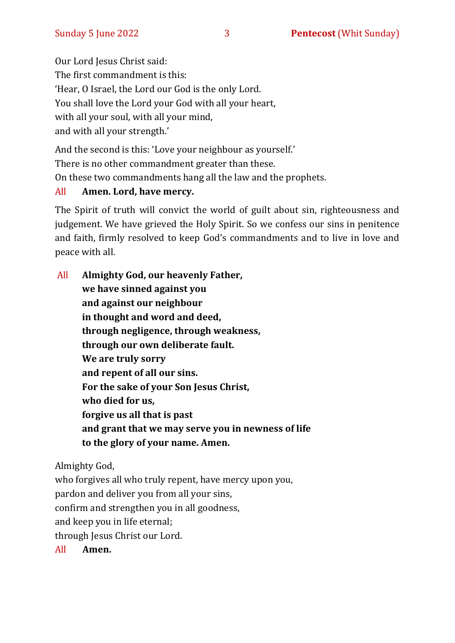Our Lord Jesus Christ said: The first commandment is this: 'Hear, O Israel, the Lord our God is the only Lord. You shall love the Lord your God with all your heart, with all your soul, with all your mind, and with all your strength.'

And the second is this: 'Love your neighbour as yourself.'

There is no other commandment greater than these.

On these two commandments hang all the law and the prophets.

### All **Amen. Lord, have mercy.**

The Spirit of truth will convict the world of guilt about sin, righteousness and judgement. We have grieved the Holy Spirit. So we confess our sins in penitence and faith, firmly resolved to keep God's commandments and to live in love and peace with all.

All **Almighty God, our heavenly Father, we have sinned against you and against our neighbour in thought and word and deed, through negligence, through weakness, through our own deliberate fault. We are truly sorry and repent of all our sins. For the sake of your Son Jesus Christ, who died for us, forgive us all that is past and grant that we may serve you in newness of life to the glory of your name. Amen.**

Almighty God,

who forgives all who truly repent, have mercy upon you, pardon and deliver you from all your sins, confirm and strengthen you in all goodness, and keep you in life eternal; through Jesus Christ our Lord.

All **Amen.**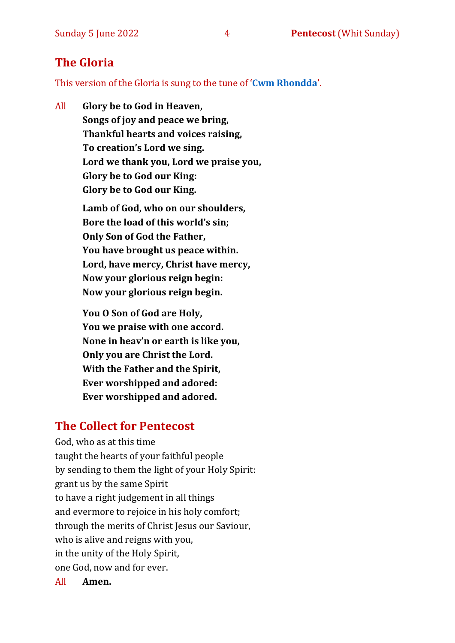### **The Gloria**

This version of the Gloria is sung to the tune of '**[Cwm Rhondda](https://www.youtube.com/watch?v=l71MLQ22dIk)**'.

All **Glory be to God in Heaven, Songs of joy and peace we bring, Thankful hearts and voices raising, To creation's Lord we sing. Lord we thank you, Lord we praise you, Glory be to God our King: Glory be to God our King.**

> **Lamb of God, who on our shoulders, Bore the load of this world's sin; Only Son of God the Father, You have brought us peace within. Lord, have mercy, Christ have mercy, Now your glorious reign begin: Now your glorious reign begin.**

**You O Son of God are Holy, You we praise with one accord. None in heav'n or earth is like you, Only you are Christ the Lord. With the Father and the Spirit, Ever worshipped and adored: Ever worshipped and adored.**

### **The Collect for Pentecost**

God, who as at this time taught the hearts of your faithful people by sending to them the light of your Holy Spirit: grant us by the same Spirit to have a right judgement in all things and evermore to rejoice in his holy comfort; through the merits of Christ Jesus our Saviour, who is alive and reigns with you, in the unity of the Holy Spirit, one God, now and for ever.

All **Amen.**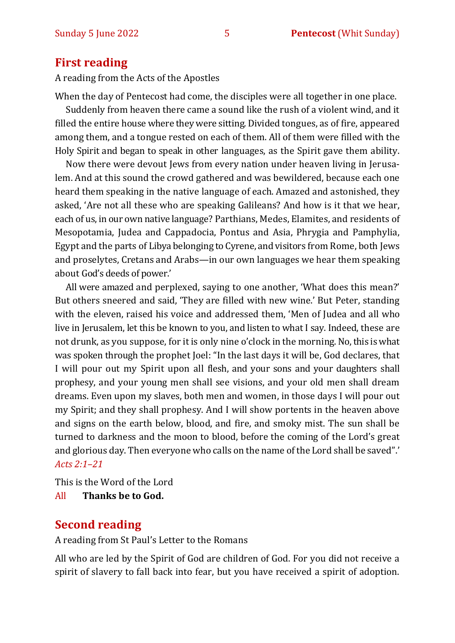### **First reading**

A reading from the Acts of the Apostles

When the day of Pentecost had come, the disciples were all together in one place.

Suddenly from heaven there came a sound like the rush of a violent wind, and it filled the entire house where they were sitting. Divided tongues, as of fire, appeared among them, and a tongue rested on each of them. All of them were filled with the Holy Spirit and began to speak in other languages, as the Spirit gave them ability.

Now there were devout Jews from every nation under heaven living in Jerusalem. And at this sound the crowd gathered and was bewildered, because each one heard them speaking in the native language of each. Amazed and astonished, they asked, 'Are not all these who are speaking Galileans? And how is it that we hear, each of us, in our own native language? Parthians, Medes, Elamites, and residents of Mesopotamia, Judea and Cappadocia, Pontus and Asia, Phrygia and Pamphylia, Egypt and the parts of Libya belonging to Cyrene, and visitors from Rome, both Jews and proselytes, Cretans and Arabs—in our own languages we hear them speaking about God's deeds of power.'

All were amazed and perplexed, saying to one another, 'What does this mean?' But others sneered and said, 'They are filled with new wine.' But Peter, standing with the eleven, raised his voice and addressed them, 'Men of Judea and all who live in Jerusalem, let this be known to you, and listen to what I say. Indeed, these are not drunk, as you suppose, for it is only nine o'clock in the morning. No, this is what was spoken through the prophet Joel: "In the last days it will be, God declares, that I will pour out my Spirit upon all flesh, and your sons and your daughters shall prophesy, and your young men shall see visions, and your old men shall dream dreams. Even upon my slaves, both men and women, in those days I will pour out my Spirit; and they shall prophesy. And I will show portents in the heaven above and signs on the earth below, blood, and fire, and smoky mist. The sun shall be turned to darkness and the moon to blood, before the coming of the Lord's great and glorious day. Then everyone who calls on the name of the Lord shall be saved".' *Acts 2:1–21*

This is the Word of the Lord

All **Thanks be to God.**

### **Second reading**

A reading from St Paul's Letter to the Romans

All who are led by the Spirit of God are children of God. For you did not receive a spirit of slavery to fall back into fear, but you have received a spirit of adoption.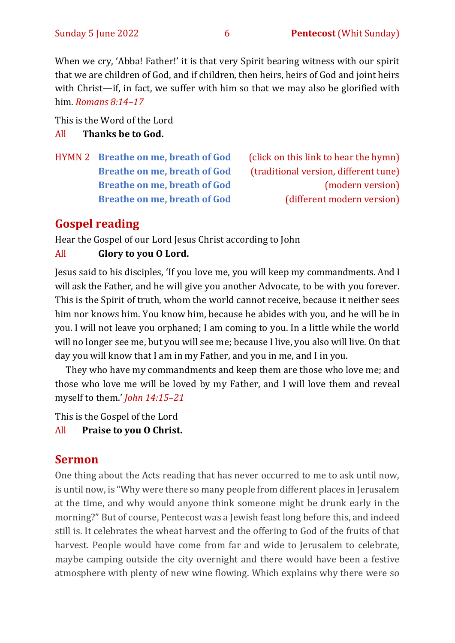When we cry, 'Abba! Father!' it is that very Spirit bearing witness with our spirit that we are children of God, and if children, then heirs, heirs of God and joint heirs with Christ—if, in fact, we suffer with him so that we may also be glorified with him. *Romans 8:14–17*

This is the Word of the Lord All **Thanks be to God.**

HYMN 2 **[Breathe on me, breath of God](https://youtu.be/M5keJHZdWYM)** (click on this link to hear the hymn)

**[Breathe on me, breath of God](https://www.youtube.com/watch?v=r8mCs-QHELw)** (traditional version, different tune) **[Breathe on me, breath of God](https://www.youtube.com/watch?v=6ph-t8P2r_I)** (modern version) **[Breathe on me, breath of God](https://youtu.be/NG7i2SDe-kE)** (different modern version)

### **Gospel reading**

Hear the Gospel of our Lord Jesus Christ according to John

#### All **Glory to you O Lord.**

Jesus said to his disciples, 'If you love me, you will keep my commandments. And I will ask the Father, and he will give you another Advocate, to be with you forever. This is the Spirit of truth, whom the world cannot receive, because it neither sees him nor knows him. You know him, because he abides with you, and he will be in you. I will not leave you orphaned; I am coming to you. In a little while the world will no longer see me, but you will see me; because I live, you also will live. On that day you will know that I am in my Father, and you in me, and I in you.

They who have my commandments and keep them are those who love me; and those who love me will be loved by my Father, and I will love them and reveal myself to them.' *John 14:15–21*

This is the Gospel of the Lord All **Praise to you O Christ.** 

### **Sermon**

One thing about the Acts reading that has never occurred to me to ask until now, is until now, is "Why were there so many people from different places in Jerusalem at the time, and why would anyone think someone might be drunk early in the morning?" But of course, Pentecost was a Jewish feast long before this, and indeed still is. It celebrates the wheat harvest and the offering to God of the fruits of that harvest. People would have come from far and wide to Jerusalem to celebrate, maybe camping outside the city overnight and there would have been a festive atmosphere with plenty of new wine flowing. Which explains why there were so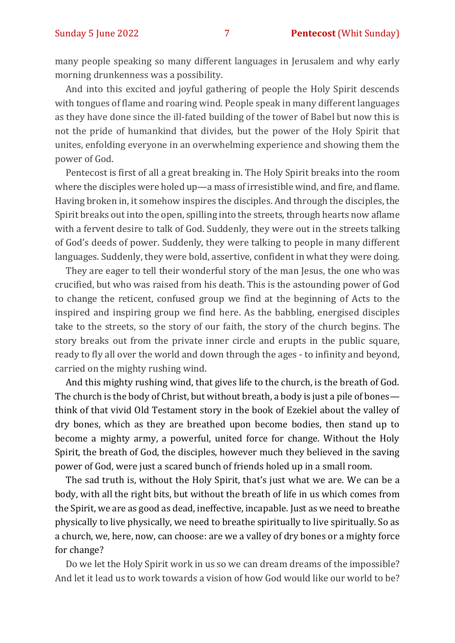many people speaking so many different languages in Jerusalem and why early morning drunkenness was a possibility.

And into this excited and joyful gathering of people the Holy Spirit descends with tongues of flame and roaring wind. People speak in many different languages as they have done since the ill-fated building of the tower of Babel but now this is not the pride of humankind that divides, but the power of the Holy Spirit that unites, enfolding everyone in an overwhelming experience and showing them the power of God.

Pentecost is first of all a great breaking in. The Holy Spirit breaks into the room where the disciples were holed up—a mass of irresistible wind, and fire, and flame. Having broken in, it somehow inspires the disciples. And through the disciples, the Spirit breaks out into the open, spilling into the streets, through hearts now aflame with a fervent desire to talk of God. Suddenly, they were out in the streets talking of God's deeds of power. Suddenly, they were talking to people in many different languages. Suddenly, they were bold, assertive, confident in what they were doing.

They are eager to tell their wonderful story of the man Jesus, the one who was crucified, but who was raised from his death. This is the astounding power of God to change the reticent, confused group we find at the beginning of Acts to the inspired and inspiring group we find here. As the babbling, energised disciples take to the streets, so the story of our faith, the story of the church begins. The story breaks out from the private inner circle and erupts in the public square, ready to fly all over the world and down through the ages - to infinity and beyond, carried on the mighty rushing wind.

And this mighty rushing wind, that gives life to the church, is the breath of God. The church is the body of Christ, but without breath, a body is just a pile of bones think of that vivid Old Testament story in the book of Ezekiel about the valley of dry bones, which as they are breathed upon become bodies, then stand up to become a mighty army, a powerful, united force for change. Without the Holy Spirit, the breath of God, the disciples, however much they believed in the saving power of God, were just a scared bunch of friends holed up in a small room.

The sad truth is, without the Holy Spirit, that's just what we are. We can be a body, with all the right bits, but without the breath of life in us which comes from the Spirit, we are as good as dead, ineffective, incapable. Just as we need to breathe physically to live physically, we need to breathe spiritually to live spiritually. So as a church, we, here, now, can choose: are we a valley of dry bones or a mighty force for change?

Do we let the Holy Spirit work in us so we can dream dreams of the impossible? And let it lead us to work towards a vision of how God would like our world to be?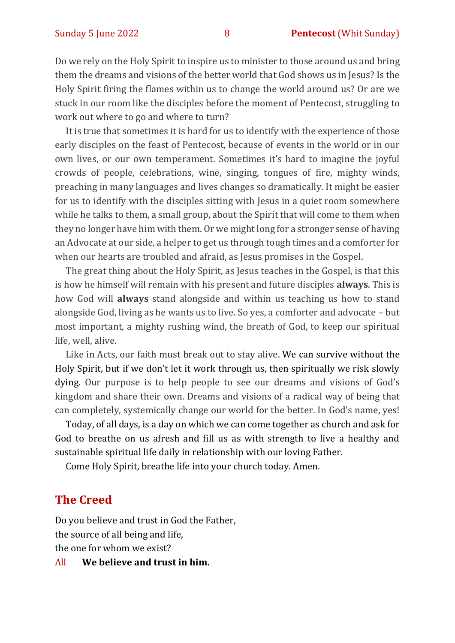Do we rely on the Holy Spirit to inspire us to minister to those around us and bring them the dreams and visions of the better world that God shows us in Jesus? Is the Holy Spirit firing the flames within us to change the world around us? Or are we stuck in our room like the disciples before the moment of Pentecost, struggling to work out where to go and where to turn?

It is true that sometimes it is hard for us to identify with the experience of those early disciples on the feast of Pentecost, because of events in the world or in our own lives, or our own temperament. Sometimes it's hard to imagine the joyful crowds of people, celebrations, wine, singing, tongues of fire, mighty winds, preaching in many languages and lives changes so dramatically. It might be easier for us to identify with the disciples sitting with Jesus in a quiet room somewhere while he talks to them, a small group, about the Spirit that will come to them when they no longer have him with them. Or we might long for a stronger sense of having an Advocate at our side, a helper to get us through tough times and a comforter for when our hearts are troubled and afraid, as Jesus promises in the Gospel.

The great thing about the Holy Spirit, as Jesus teaches in the Gospel, is that this is how he himself will remain with his present and future disciples **always**. This is how God will **always** stand alongside and within us teaching us how to stand alongside God, living as he wants us to live. So yes, a comforter and advocate – but most important, a mighty rushing wind, the breath of God, to keep our spiritual life, well, alive.

Like in Acts, our faith must break out to stay alive. We can survive without the Holy Spirit, but if we don't let it work through us, then spiritually we risk slowly dying. Our purpose is to help people to see our dreams and visions of God's kingdom and share their own. Dreams and visions of a radical way of being that can completely, systemically change our world for the better. In God's name, yes!

Today, of all days, is a day on which we can come together as church and ask for God to breathe on us afresh and fill us as with strength to live a healthy and sustainable spiritual life daily in relationship with our loving Father.

Come Holy Spirit, breathe life into your church today. Amen.

### **The Creed**

Do you believe and trust in God the Father, the source of all being and life, the one for whom we exist?

All **We believe and trust in him.**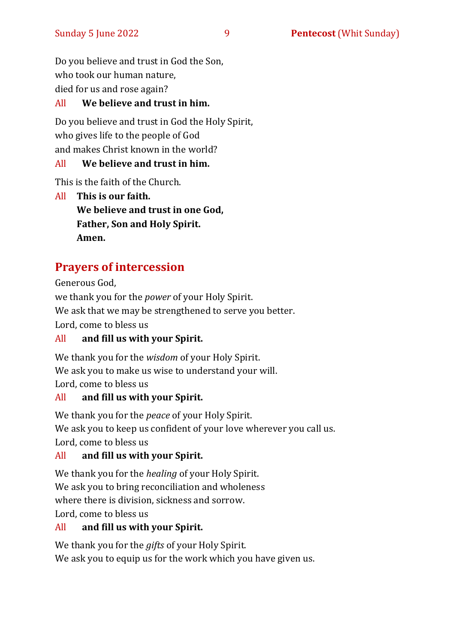Do you believe and trust in God the Son, who took our human nature, died for us and rose again?

### All **We believe and trust in him.**

Do you believe and trust in God the Holy Spirit, who gives life to the people of God and makes Christ known in the world?

#### All **We believe and trust in him.**

This is the faith of the Church.

All **This is our faith. We believe and trust in one God, Father, Son and Holy Spirit. Amen.**

### **Prayers of intercession**

Generous God,

we thank you for the *power* of your Holy Spirit.

We ask that we may be strengthened to serve you better.

Lord, come to bless us

### All **and fill us with your Spirit.**

We thank you for the *wisdom* of your Holy Spirit. We ask you to make us wise to understand your will. Lord, come to bless us

### All **and fill us with your Spirit.**

We thank you for the *peace* of your Holy Spirit.

We ask you to keep us confident of your love wherever you call us.

Lord, come to bless us

### All **and fill us with your Spirit.**

We thank you for the *healing* of your Holy Spirit. We ask you to bring reconciliation and wholeness where there is division, sickness and sorrow.

Lord, come to bless us

### All **and fill us with your Spirit.**

We thank you for the *gifts* of your Holy Spirit. We ask you to equip us for the work which you have given us.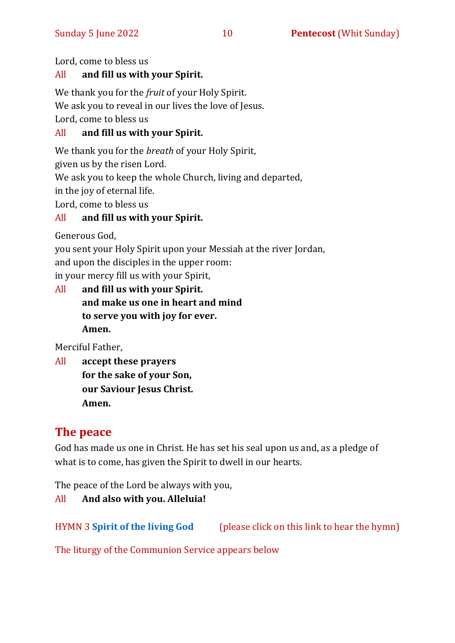Lord, come to bless us

#### All **and fill us with your Spirit.**

We thank you for the *fruit* of your Holy Spirit.

We ask you to reveal in our lives the love of Jesus.

Lord, come to bless us

### All **and fill us with your Spirit.**

We thank you for the *breath* of your Holy Spirit,

given us by the risen Lord.

We ask you to keep the whole Church, living and departed,

in the joy of eternal life.

Lord, come to bless us

#### All **and fill us with your Spirit.**

Generous God,

you sent your Holy Spirit upon your Messiah at the river Jordan, and upon the disciples in the upper room: in your mercy fill us with your Spirit,

### All **and fill us with your Spirit. and make us one in heart and mind to serve you with joy for ever. Amen.**

Merciful Father,

All **accept these prayers for the sake of your Son, our Saviour Jesus Christ. Amen.**

### **The peace**

God has made us one in Christ. He has set his seal upon us and, as a pledge of what is to come, has given the Spirit to dwell in our hearts.

The peace of the Lord be always with you,

All **And also with you. Alleluia!**

HYMN 3 **[Spirit of the living God](https://youtu.be/Y2t3TfhoNE8)** (please click on this link to hear the hymn)

The liturgy of the Communion Service appears below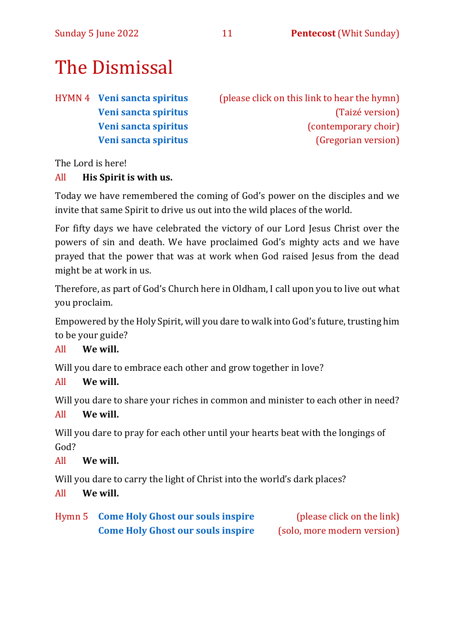# The Dismissal

- 
- HYMN 4 **[Veni sancta spiritus](https://www.youtube.com/watch?v=DcjtO4lJX1g)** (please click on this link to hear the hymn) **[Veni sancta spiritus](https://www.youtube.com/watch?v=tG95MEZD2fI)** (Taizé version) **[Veni sancta spiritus](https://www.youtube.com/watch?v=OwUurCKa0Q8)** (contemporary choir) **[Veni sancta spiritus](https://www.youtube.com/watch?v=HEKuxUOPzk8&t=22s)** (Gregorian version)

The Lord is here!

#### All **His Spirit is with us.**

Today we have remembered the coming of God's power on the disciples and we invite that same Spirit to drive us out into the wild places of the world.

For fifty days we have celebrated the victory of our Lord Jesus Christ over the powers of sin and death. We have proclaimed God's mighty acts and we have prayed that the power that was at work when God raised Jesus from the dead might be at work in us.

Therefore, as part of God's Church here in Oldham, I call upon you to live out what you proclaim.

Empowered by the Holy Spirit, will you dare to walk into God's future, trusting him to be your guide?

#### All **We will.**

Will you dare to embrace each other and grow together in love?

#### All **We will.**

Will you dare to share your riches in common and minister to each other in need?

#### All **We will.**

Will you dare to pray for each other until your hearts beat with the longings of God?

#### All **We will.**

Will you dare to carry the light of Christ into the world's dark places?

#### All **We will.**

```
Hymn 5 Come Holy Ghost our souls inspire (please click on the link)
Come Holy Ghost our souls inspire (solo, more modern version)
```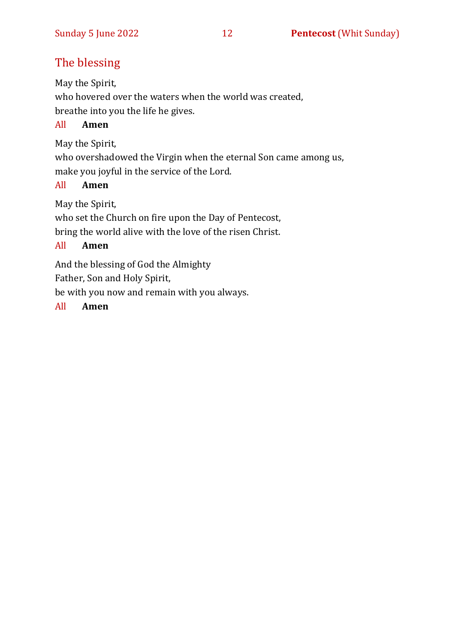### The blessing

May the Spirit, who hovered over the waters when the world was created, breathe into you the life he gives.

#### All **Amen**

May the Spirit,

who overshadowed the Virgin when the eternal Son came among us, make you joyful in the service of the Lord.

### All **Amen**

May the Spirit,

who set the Church on fire upon the Day of Pentecost, bring the world alive with the love of the risen Christ.

#### All **Amen**

And the blessing of God the Almighty

Father, Son and Holy Spirit,

be with you now and remain with you always.

### All **Amen**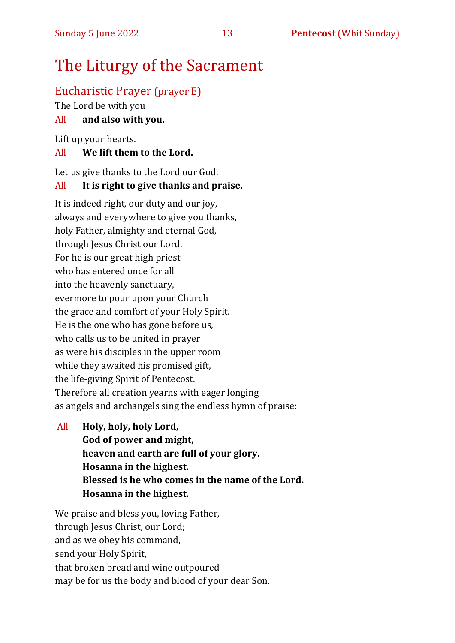## The Liturgy of the Sacrament

### Eucharistic Prayer (prayer E)

The Lord be with you

### All **and also with you.**

Lift up your hearts.

### All **We lift them to the Lord.**

Let us give thanks to the Lord our God.

### All **It is right to give thanks and praise.**

It is indeed right, our duty and our joy, always and everywhere to give you thanks, holy Father, almighty and eternal God, through Jesus Christ our Lord. For he is our great high priest who has entered once for all into the heavenly sanctuary, evermore to pour upon your Church the grace and comfort of your Holy Spirit. He is the one who has gone before us, who calls us to be united in prayer as were his disciples in the upper room while they awaited his promised gift, the life-giving Spirit of Pentecost. Therefore all creation yearns with eager longing as angels and archangels sing the endless hymn of praise:

All **Holy, holy, holy Lord,**

**God of power and might, heaven and earth are full of your glory. Hosanna in the highest. Blessed is he who comes in the name of the Lord. Hosanna in the highest.**

We praise and bless you, loving Father, through Jesus Christ, our Lord; and as we obey his command, send your Holy Spirit, that broken bread and wine outpoured may be for us the body and blood of your dear Son.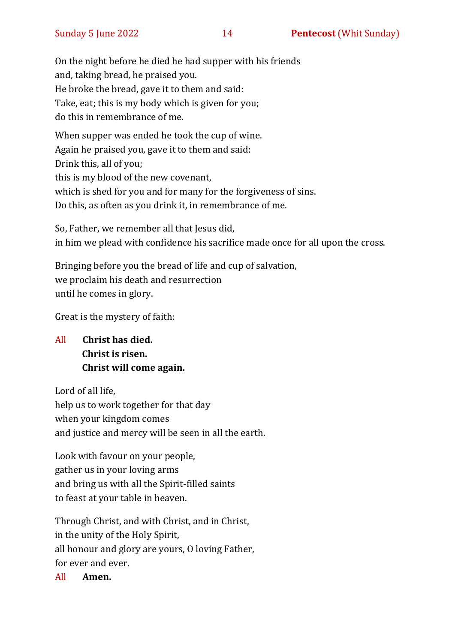On the night before he died he had supper with his friends and, taking bread, he praised you. He broke the bread, gave it to them and said: Take, eat; this is my body which is given for you; do this in remembrance of me.

When supper was ended he took the cup of wine. Again he praised you, gave it to them and said: Drink this, all of you; this is my blood of the new covenant, which is shed for you and for many for the forgiveness of sins. Do this, as often as you drink it, in remembrance of me.

So, Father, we remember all that Jesus did, in him we plead with confidence his sacrifice made once for all upon the cross.

Bringing before you the bread of life and cup of salvation, we proclaim his death and resurrection until he comes in glory.

Great is the mystery of faith:

All **Christ has died. Christ is risen. Christ will come again.**

Lord of all life, help us to work together for that day when your kingdom comes and justice and mercy will be seen in all the earth.

Look with favour on your people, gather us in your loving arms and bring us with all the Spirit-filled saints to feast at your table in heaven.

Through Christ, and with Christ, and in Christ, in the unity of the Holy Spirit, all honour and glory are yours, O loving Father, for ever and ever.

All **Amen.**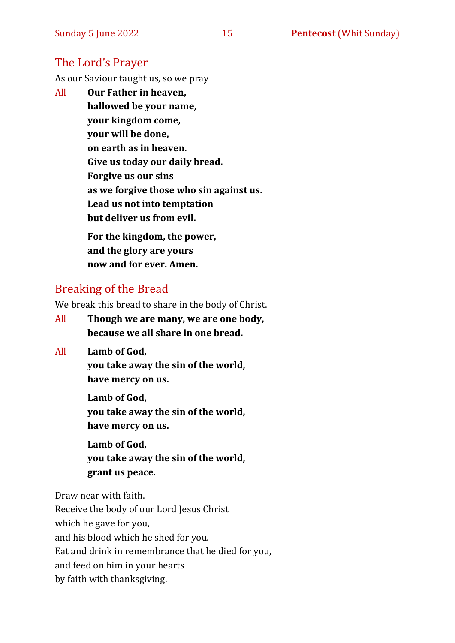### The Lord's Prayer

As our Saviour taught us, so we pray

All **Our Father in heaven, hallowed be your name, your kingdom come, your will be done, on earth as in heaven. Give us today our daily bread. Forgive us our sins as we forgive those who sin against us. Lead us not into temptation but deliver us from evil. For the kingdom, the power,** 

**and the glory are yours now and for ever. Amen.**

### Breaking of the Bread

We break this bread to share in the body of Christ.

- All **Though we are many, we are one body, because we all share in one bread.**
- All **Lamb of God,**

**you take away the sin of the world, have mercy on us.**

**Lamb of God, you take away the sin of the world, have mercy on us.**

**Lamb of God, you take away the sin of the world, grant us peace.**

Draw near with faith.

Receive the body of our Lord Jesus Christ

which he gave for you,

and his blood which he shed for you.

Eat and drink in remembrance that he died for you,

and feed on him in your hearts

by faith with thanksgiving.